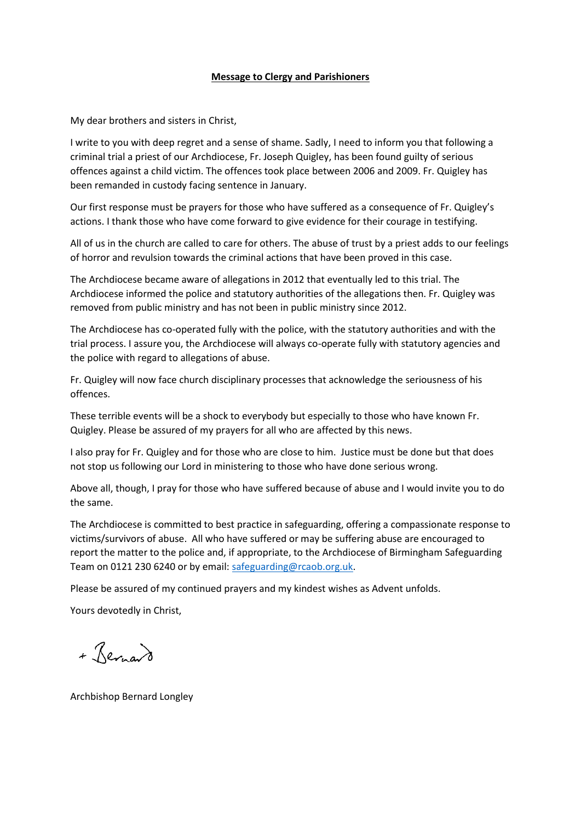## **Message to Clergy and Parishioners**

My dear brothers and sisters in Christ,

I write to you with deep regret and a sense of shame. Sadly, I need to inform you that following a criminal trial a priest of our Archdiocese, Fr. Joseph Quigley, has been found guilty of serious offences against a child victim. The offences took place between 2006 and 2009. Fr. Quigley has been remanded in custody facing sentence in January.

Our first response must be prayers for those who have suffered as a consequence of Fr. Quigley's actions. I thank those who have come forward to give evidence for their courage in testifying.

All of us in the church are called to care for others. The abuse of trust by a priest adds to our feelings of horror and revulsion towards the criminal actions that have been proved in this case.

The Archdiocese became aware of allegations in 2012 that eventually led to this trial. The Archdiocese informed the police and statutory authorities of the allegations then. Fr. Quigley was removed from public ministry and has not been in public ministry since 2012.

The Archdiocese has co-operated fully with the police, with the statutory authorities and with the trial process. I assure you, the Archdiocese will always co-operate fully with statutory agencies and the police with regard to allegations of abuse.

Fr. Quigley will now face church disciplinary processes that acknowledge the seriousness of his offences.

These terrible events will be a shock to everybody but especially to those who have known Fr. Quigley. Please be assured of my prayers for all who are affected by this news.

I also pray for Fr. Quigley and for those who are close to him. Justice must be done but that does not stop us following our Lord in ministering to those who have done serious wrong.

Above all, though, I pray for those who have suffered because of abuse and I would invite you to do the same.

The Archdiocese is committed to best practice in safeguarding, offering a compassionate response to victims/survivors of abuse. All who have suffered or may be suffering abuse are encouraged to report the matter to the police and, if appropriate, to the Archdiocese of Birmingham Safeguarding Team on 0121 230 6240 or by email[: safeguarding@rcaob.org.uk.](mailto:safeguarding@rcaob.org.uk)

Please be assured of my continued prayers and my kindest wishes as Advent unfolds.

Yours devotedly in Christ,

+ Revisard

Archbishop Bernard Longley